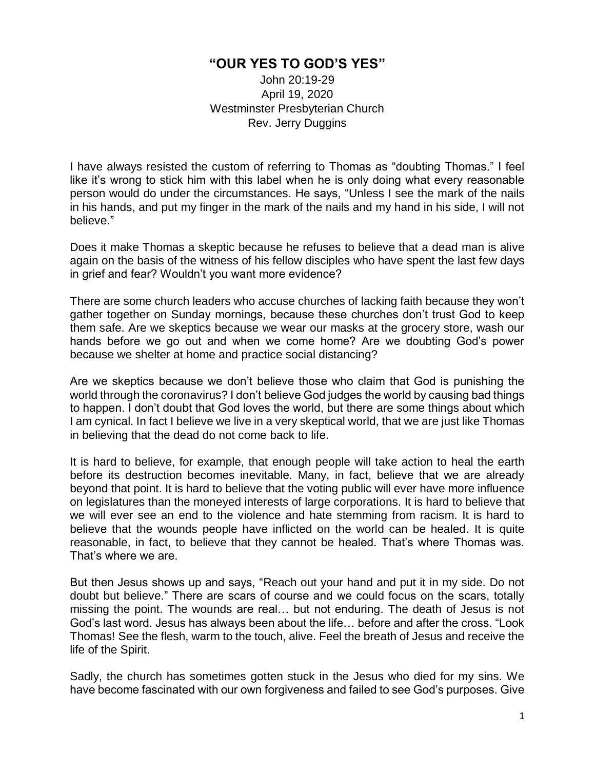## **"OUR YES TO GOD'S YES"**

John 20:19-29 April 19, 2020 Westminster Presbyterian Church Rev. Jerry Duggins

I have always resisted the custom of referring to Thomas as "doubting Thomas." I feel like it's wrong to stick him with this label when he is only doing what every reasonable person would do under the circumstances. He says, "Unless I see the mark of the nails in his hands, and put my finger in the mark of the nails and my hand in his side, I will not believe."

Does it make Thomas a skeptic because he refuses to believe that a dead man is alive again on the basis of the witness of his fellow disciples who have spent the last few days in grief and fear? Wouldn't you want more evidence?

There are some church leaders who accuse churches of lacking faith because they won't gather together on Sunday mornings, because these churches don't trust God to keep them safe. Are we skeptics because we wear our masks at the grocery store, wash our hands before we go out and when we come home? Are we doubting God's power because we shelter at home and practice social distancing?

Are we skeptics because we don't believe those who claim that God is punishing the world through the coronavirus? I don't believe God judges the world by causing bad things to happen. I don't doubt that God loves the world, but there are some things about which I am cynical. In fact I believe we live in a very skeptical world, that we are just like Thomas in believing that the dead do not come back to life.

It is hard to believe, for example, that enough people will take action to heal the earth before its destruction becomes inevitable. Many, in fact, believe that we are already beyond that point. It is hard to believe that the voting public will ever have more influence on legislatures than the moneyed interests of large corporations. It is hard to believe that we will ever see an end to the violence and hate stemming from racism. It is hard to believe that the wounds people have inflicted on the world can be healed. It is quite reasonable, in fact, to believe that they cannot be healed. That's where Thomas was. That's where we are.

But then Jesus shows up and says, "Reach out your hand and put it in my side. Do not doubt but believe." There are scars of course and we could focus on the scars, totally missing the point. The wounds are real… but not enduring. The death of Jesus is not God's last word. Jesus has always been about the life… before and after the cross. "Look Thomas! See the flesh, warm to the touch, alive. Feel the breath of Jesus and receive the life of the Spirit.

Sadly, the church has sometimes gotten stuck in the Jesus who died for my sins. We have become fascinated with our own forgiveness and failed to see God's purposes. Give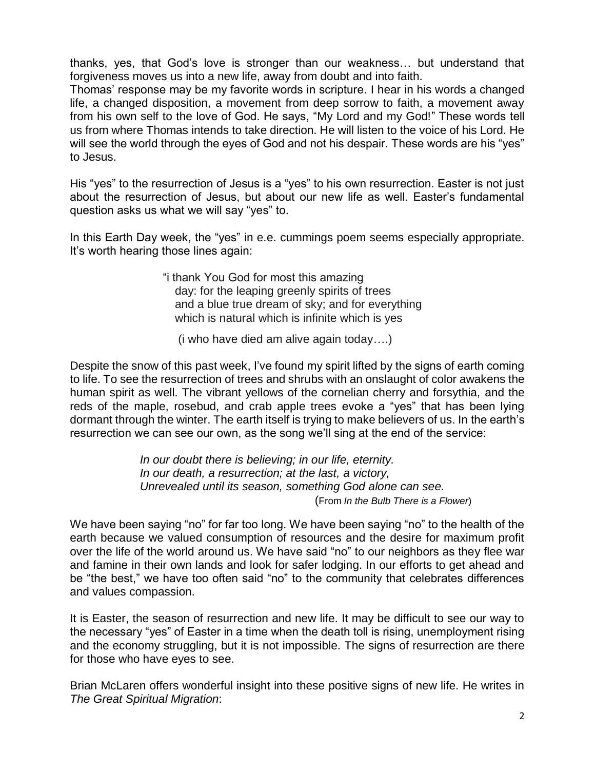thanks, yes, that God's love is stronger than our weakness… but understand that forgiveness moves us into a new life, away from doubt and into faith.

Thomas' response may be my favorite words in scripture. I hear in his words a changed life, a changed disposition, a movement from deep sorrow to faith, a movement away from his own self to the love of God. He says, "My Lord and my God!" These words tell us from where Thomas intends to take direction. He will listen to the voice of his Lord. He will see the world through the eyes of God and not his despair. These words are his "yes" to Jesus.

His "yes" to the resurrection of Jesus is a "yes" to his own resurrection. Easter is not just about the resurrection of Jesus, but about our new life as well. Easter's fundamental question asks us what we will say "yes" to.

In this Earth Day week, the "yes" in e.e. cummings poem seems especially appropriate. It's worth hearing those lines again:

> "i thank You God for most this amazing day: for the leaping greenly spirits of trees and a blue true dream of sky; and for everything which is natural which is infinite which is yes

(i who have died am alive again today….)

Despite the snow of this past week, I've found my spirit lifted by the signs of earth coming to life. To see the resurrection of trees and shrubs with an onslaught of color awakens the human spirit as well. The vibrant yellows of the cornelian cherry and forsythia, and the reds of the maple, rosebud, and crab apple trees evoke a "yes" that has been lying dormant through the winter. The earth itself is trying to make believers of us. In the earth's resurrection we can see our own, as the song we'll sing at the end of the service:

> *In our doubt there is believing; in our life, eternity. In our death, a resurrection; at the last, a victory, Unrevealed until its season, something God alone can see.* (From *In the Bulb There is a Flower*)

We have been saying "no" for far too long. We have been saying "no" to the health of the earth because we valued consumption of resources and the desire for maximum profit over the life of the world around us. We have said "no" to our neighbors as they flee war and famine in their own lands and look for safer lodging. In our efforts to get ahead and be "the best," we have too often said "no" to the community that celebrates differences and values compassion.

It is Easter, the season of resurrection and new life. It may be difficult to see our way to the necessary "yes" of Easter in a time when the death toll is rising, unemployment rising and the economy struggling, but it is not impossible. The signs of resurrection are there for those who have eyes to see.

Brian McLaren offers wonderful insight into these positive signs of new life. He writes in *The Great Spiritual Migration*: